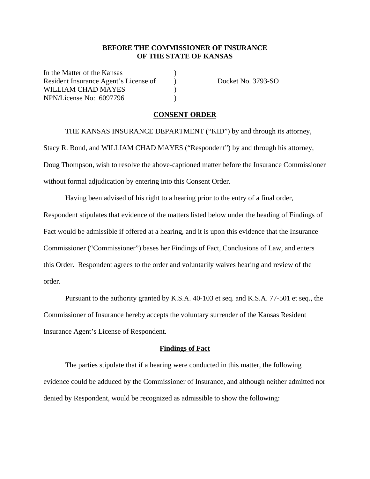#### **BEFORE THE COMMISSIONER OF INSURANCE OF THE STATE OF KANSAS**

In the Matter of the Kansas Resident Insurance Agent's License of Docket No. 3793-SO WILLIAM CHAD MAYES  $)$ NPN/License No: 6097796 )

#### **CONSENT ORDER**

 THE KANSAS INSURANCE DEPARTMENT ("KID") by and through its attorney, Stacy R. Bond, and WILLIAM CHAD MAYES ("Respondent") by and through his attorney, Doug Thompson, wish to resolve the above-captioned matter before the Insurance Commissioner without formal adjudication by entering into this Consent Order.

Having been advised of his right to a hearing prior to the entry of a final order, Respondent stipulates that evidence of the matters listed below under the heading of Findings of Fact would be admissible if offered at a hearing, and it is upon this evidence that the Insurance Commissioner ("Commissioner") bases her Findings of Fact, Conclusions of Law, and enters this Order. Respondent agrees to the order and voluntarily waives hearing and review of the order.

Pursuant to the authority granted by K.S.A. 40-103 et seq. and K.S.A. 77-501 et seq., the Commissioner of Insurance hereby accepts the voluntary surrender of the Kansas Resident Insurance Agent's License of Respondent.

#### **Findings of Fact**

The parties stipulate that if a hearing were conducted in this matter, the following evidence could be adduced by the Commissioner of Insurance, and although neither admitted nor denied by Respondent, would be recognized as admissible to show the following: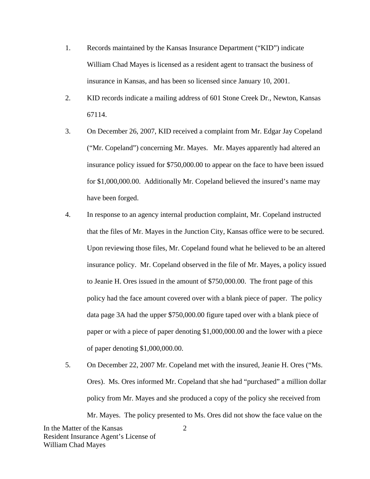- 1. Records maintained by the Kansas Insurance Department ("KID") indicate William Chad Mayes is licensed as a resident agent to transact the business of insurance in Kansas, and has been so licensed since January 10, 2001.
- 2. KID records indicate a mailing address of 601 Stone Creek Dr., Newton, Kansas 67114.
- 3. On December 26, 2007, KID received a complaint from Mr. Edgar Jay Copeland ("Mr. Copeland") concerning Mr. Mayes. Mr. Mayes apparently had altered an insurance policy issued for \$750,000.00 to appear on the face to have been issued for \$1,000,000.00. Additionally Mr. Copeland believed the insured's name may have been forged.
- 4. In response to an agency internal production complaint, Mr. Copeland instructed that the files of Mr. Mayes in the Junction City, Kansas office were to be secured. Upon reviewing those files, Mr. Copeland found what he believed to be an altered insurance policy. Mr. Copeland observed in the file of Mr. Mayes, a policy issued to Jeanie H. Ores issued in the amount of \$750,000.00. The front page of this policy had the face amount covered over with a blank piece of paper. The policy data page 3A had the upper \$750,000.00 figure taped over with a blank piece of paper or with a piece of paper denoting \$1,000,000.00 and the lower with a piece of paper denoting \$1,000,000.00.
- 5. On December 22, 2007 Mr. Copeland met with the insured, Jeanie H. Ores ("Ms. Ores). Ms. Ores informed Mr. Copeland that she had "purchased" a million dollar policy from Mr. Mayes and she produced a copy of the policy she received from Mr. Mayes. The policy presented to Ms. Ores did not show the face value on the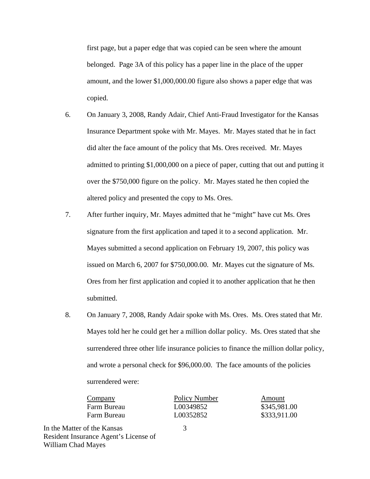first page, but a paper edge that was copied can be seen where the amount belonged. Page 3A of this policy has a paper line in the place of the upper amount, and the lower \$1,000,000.00 figure also shows a paper edge that was copied.

- 6. On January 3, 2008, Randy Adair, Chief Anti-Fraud Investigator for the Kansas Insurance Department spoke with Mr. Mayes. Mr. Mayes stated that he in fact did alter the face amount of the policy that Ms. Ores received. Mr. Mayes admitted to printing \$1,000,000 on a piece of paper, cutting that out and putting it over the \$750,000 figure on the policy. Mr. Mayes stated he then copied the altered policy and presented the copy to Ms. Ores.
- 7. After further inquiry, Mr. Mayes admitted that he "might" have cut Ms. Ores signature from the first application and taped it to a second application. Mr. Mayes submitted a second application on February 19, 2007, this policy was issued on March 6, 2007 for \$750,000.00. Mr. Mayes cut the signature of Ms. Ores from her first application and copied it to another application that he then submitted.
- 8. On January 7, 2008, Randy Adair spoke with Ms. Ores. Ms. Ores stated that Mr. Mayes told her he could get her a million dollar policy. Ms. Ores stated that she surrendered three other life insurance policies to finance the million dollar policy, and wrote a personal check for \$96,000.00. The face amounts of the policies surrendered were:

| Company     | Policy Number | Amount       |
|-------------|---------------|--------------|
| Farm Bureau | L00349852     | \$345,981.00 |
| Farm Bureau | L00352852     | \$333,911.00 |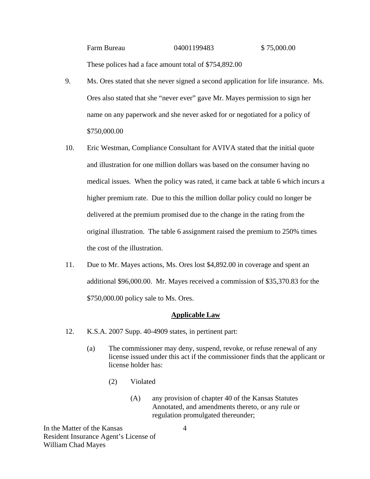# Farm Bureau 04001199483 \$75,000.00 These polices had a face amount total of \$754,892.00

- 9. Ms. Ores stated that she never signed a second application for life insurance. Ms. Ores also stated that she "never ever" gave Mr. Mayes permission to sign her name on any paperwork and she never asked for or negotiated for a policy of \$750,000.00
- 10. Eric Westman, Compliance Consultant for AVIVA stated that the initial quote and illustration for one million dollars was based on the consumer having no medical issues. When the policy was rated, it came back at table 6 which incurs a higher premium rate. Due to this the million dollar policy could no longer be delivered at the premium promised due to the change in the rating from the original illustration. The table 6 assignment raised the premium to 250% times the cost of the illustration.
- 11. Due to Mr. Mayes actions, Ms. Ores lost \$4,892.00 in coverage and spent an additional \$96,000.00. Mr. Mayes received a commission of \$35,370.83 for the \$750,000.00 policy sale to Ms. Ores.

### **Applicable Law**

- 12. K.S.A. 2007 Supp. 40-4909 states, in pertinent part:
	- (a) The commissioner may deny, suspend, revoke, or refuse renewal of any license issued under this act if the commissioner finds that the applicant or license holder has:
		- (2) Violated
			- (A) any provision of chapter 40 of the Kansas Statutes Annotated, and amendments thereto, or any rule or regulation promulgated thereunder;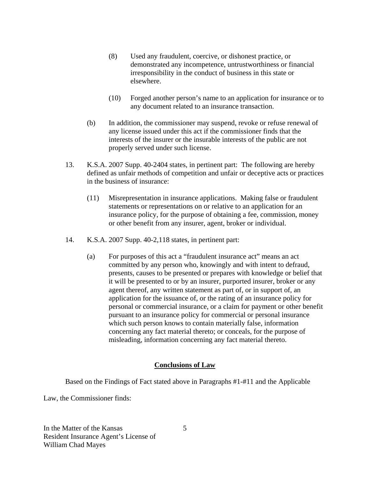- (8) Used any fraudulent, coercive, or dishonest practice, or demonstrated any incompetence, untrustworthiness or financial irresponsibility in the conduct of business in this state or elsewhere.
- (10) Forged another person's name to an application for insurance or to any document related to an insurance transaction.
- (b) In addition, the commissioner may suspend, revoke or refuse renewal of any license issued under this act if the commissioner finds that the interests of the insurer or the insurable interests of the public are not properly served under such license.
- 13. K.S.A. 2007 Supp. 40-2404 states, in pertinent part: The following are hereby defined as unfair methods of competition and unfair or deceptive acts or practices in the business of insurance:
	- (11) Misrepresentation in insurance applications. Making false or fraudulent statements or representations on or relative to an application for an insurance policy, for the purpose of obtaining a fee, commission, money or other benefit from any insurer, agent, broker or individual.
- 14. K.S.A. 2007 Supp. 40-2,118 states, in pertinent part:
	- (a) For purposes of this act a "fraudulent insurance act" means an act committed by any person who, knowingly and with intent to defraud, presents, causes to be presented or prepares with knowledge or belief that it will be presented to or by an insurer, purported insurer, broker or any agent thereof, any written statement as part of, or in support of, an application for the issuance of, or the rating of an insurance policy for personal or commercial insurance, or a claim for payment or other benefit pursuant to an insurance policy for commercial or personal insurance which such person knows to contain materially false, information concerning any fact material thereto; or conceals, for the purpose of misleading, information concerning any fact material thereto.

### **Conclusions of Law**

Based on the Findings of Fact stated above in Paragraphs #1-#11 and the Applicable

Law, the Commissioner finds: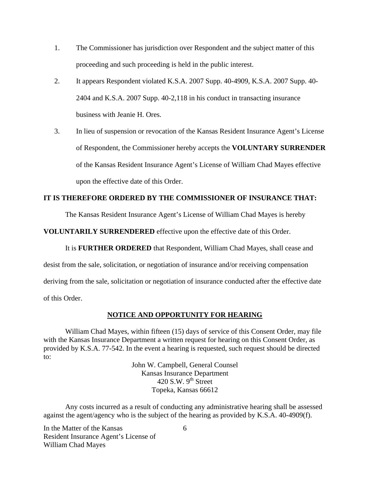- 1. The Commissioner has jurisdiction over Respondent and the subject matter of this proceeding and such proceeding is held in the public interest.
- 2. It appears Respondent violated K.S.A. 2007 Supp. 40-4909, K.S.A. 2007 Supp. 40- 2404 and K.S.A. 2007 Supp. 40-2,118 in his conduct in transacting insurance business with Jeanie H. Ores.
- 3. In lieu of suspension or revocation of the Kansas Resident Insurance Agent's License of Respondent, the Commissioner hereby accepts the **VOLUNTARY SURRENDER**  of the Kansas Resident Insurance Agent's License of William Chad Mayes effective upon the effective date of this Order.

# **IT IS THEREFORE ORDERED BY THE COMMISSIONER OF INSURANCE THAT:**

The Kansas Resident Insurance Agent's License of William Chad Mayes is hereby

**VOLUNTARILY SURRENDERED** effective upon the effective date of this Order.

It is **FURTHER ORDERED** that Respondent, William Chad Mayes, shall cease and

desist from the sale, solicitation, or negotiation of insurance and/or receiving compensation

deriving from the sale, solicitation or negotiation of insurance conducted after the effective date

of this Order.

#### **NOTICE AND OPPORTUNITY FOR HEARING**

William Chad Mayes, within fifteen (15) days of service of this Consent Order, may file with the Kansas Insurance Department a written request for hearing on this Consent Order, as provided by K.S.A. 77-542. In the event a hearing is requested, such request should be directed to:

> John W. Campbell, General Counsel Kansas Insurance Department 420 S.W.  $9<sup>th</sup>$  Street Topeka, Kansas 66612

Any costs incurred as a result of conducting any administrative hearing shall be assessed against the agent/agency who is the subject of the hearing as provided by K.S.A. 40-4909(f).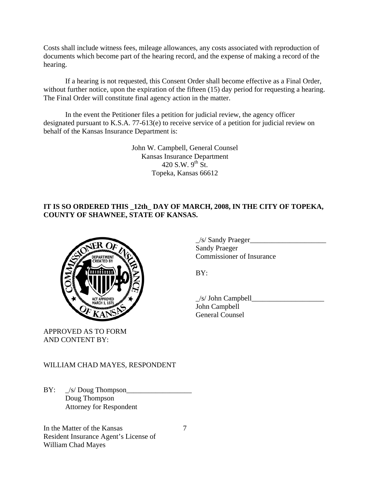Costs shall include witness fees, mileage allowances, any costs associated with reproduction of documents which become part of the hearing record, and the expense of making a record of the hearing.

If a hearing is not requested, this Consent Order shall become effective as a Final Order, without further notice, upon the expiration of the fifteen (15) day period for requesting a hearing. The Final Order will constitute final agency action in the matter.

In the event the Petitioner files a petition for judicial review, the agency officer designated pursuant to K.S.A. 77-613(e) to receive service of a petition for judicial review on behalf of the Kansas Insurance Department is:

> John W. Campbell, General Counsel Kansas Insurance Department 420 S.W.  $9^{th}$  St. Topeka, Kansas 66612

# **IT IS SO ORDERED THIS \_12th\_ DAY OF MARCH, 2008, IN THE CITY OF TOPEKA, COUNTY OF SHAWNEE, STATE OF KANSAS.**



APPROVED AS TO FORM AND CONTENT BY:

 $\angle$ s/ Sandy Praeger $\angle$  Sandy Praeger COMMISSIONER COMMISSIONER OF Insurance

 $\angle$ s/ John Campbell $\angle$  John Campbell General Counsel

# WILLIAM CHAD MAYES, RESPONDENT

 $BY: \quad \_\!/s/ \text{Doug}$  Thompson Doug Thompson Attorney for Respondent